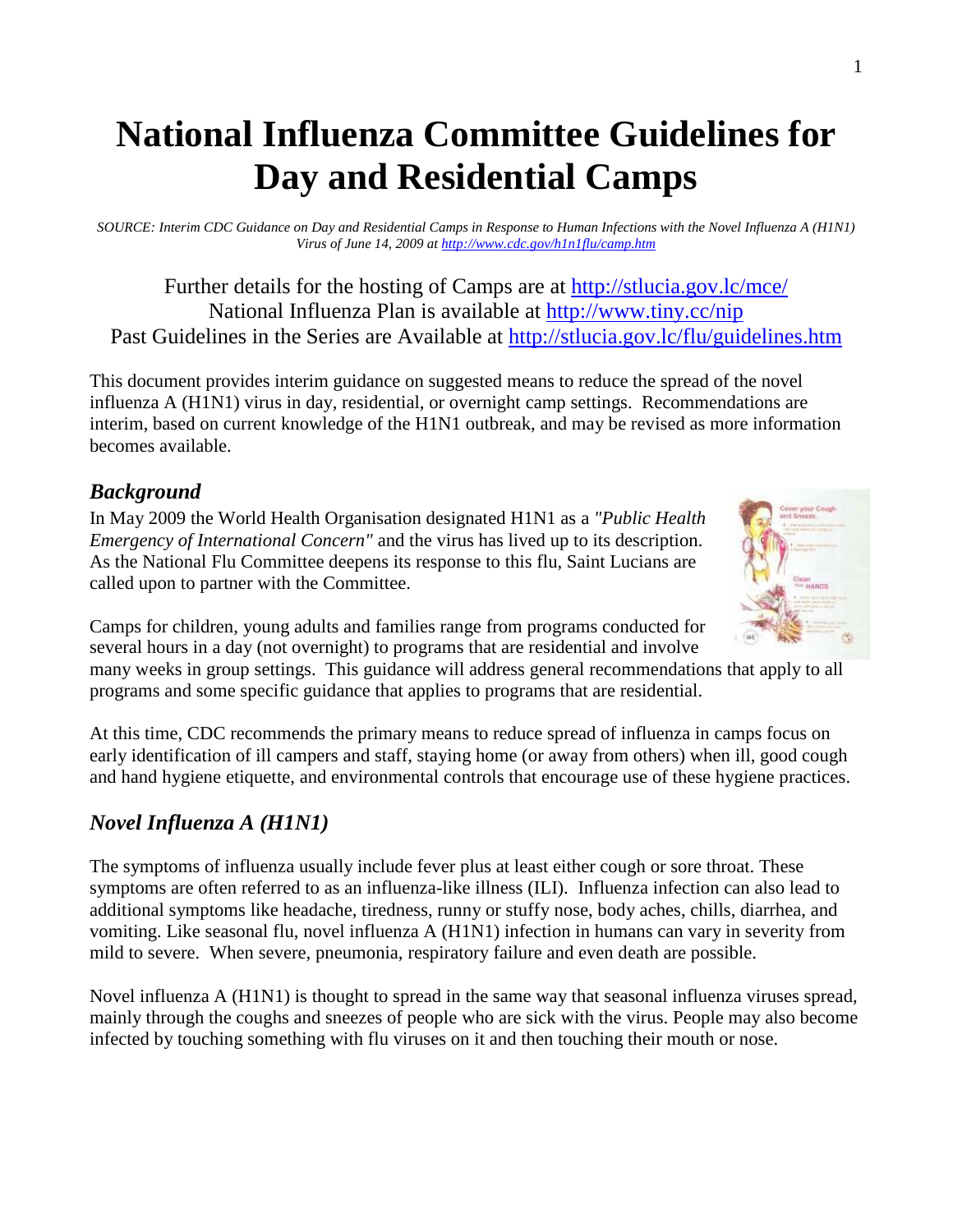# **National Influenza Committee Guidelines for Day and Residential Camps**

*SOURCE: Interim CDC Guidance on Day and Residential Camps in Response to Human Infections with the Novel Influenza A (H1N1) Virus of June 14, 2009 at http://www.cdc.gov/h1n1flu/camp.htm*

Further details for the hosting of Camps are at http://stlucia.gov.lc/mce/ National Influenza Plan is available at http://www.tiny.cc/nip Past Guidelines in the Series are Available at http://stlucia.gov.lc/flu/guidelines.htm

This document provides interim guidance on suggested means to reduce the spread of the novel influenza A (H1N1) virus in day, residential, or overnight camp settings. Recommendations are interim, based on current knowledge of the H1N1 outbreak, and may be revised as more information becomes available.

## *Background*

In May 2009 the World Health Organisation designated H1N1 as a *"Public Health Emergency of International Concern"* and the virus has lived up to its description. As the National Flu Committee deepens its response to this flu, Saint Lucians are called upon to partner with the Committee.



Camps for children, young adults and families range from programs conducted for several hours in a day (not overnight) to programs that are residential and involve

many weeks in group settings. This guidance will address general recommendations that apply to all programs and some specific guidance that applies to programs that are residential.

At this time, CDC recommends the primary means to reduce spread of influenza in camps focus on early identification of ill campers and staff, staying home (or away from others) when ill, good cough and hand hygiene etiquette, and environmental controls that encourage use of these hygiene practices.

# *Novel Influenza A (H1N1)*

The symptoms of influenza usually include fever plus at least either cough or sore throat. These symptoms are often referred to as an influenza-like illness (ILI). Influenza infection can also lead to additional symptoms like headache, tiredness, runny or stuffy nose, body aches, chills, diarrhea, and vomiting. Like seasonal flu, novel influenza A (H1N1) infection in humans can vary in severity from mild to severe. When severe, pneumonia, respiratory failure and even death are possible.

Novel influenza A (H1N1) is thought to spread in the same way that seasonal influenza viruses spread, mainly through the coughs and sneezes of people who are sick with the virus. People may also become infected by touching something with flu viruses on it and then touching their mouth or nose.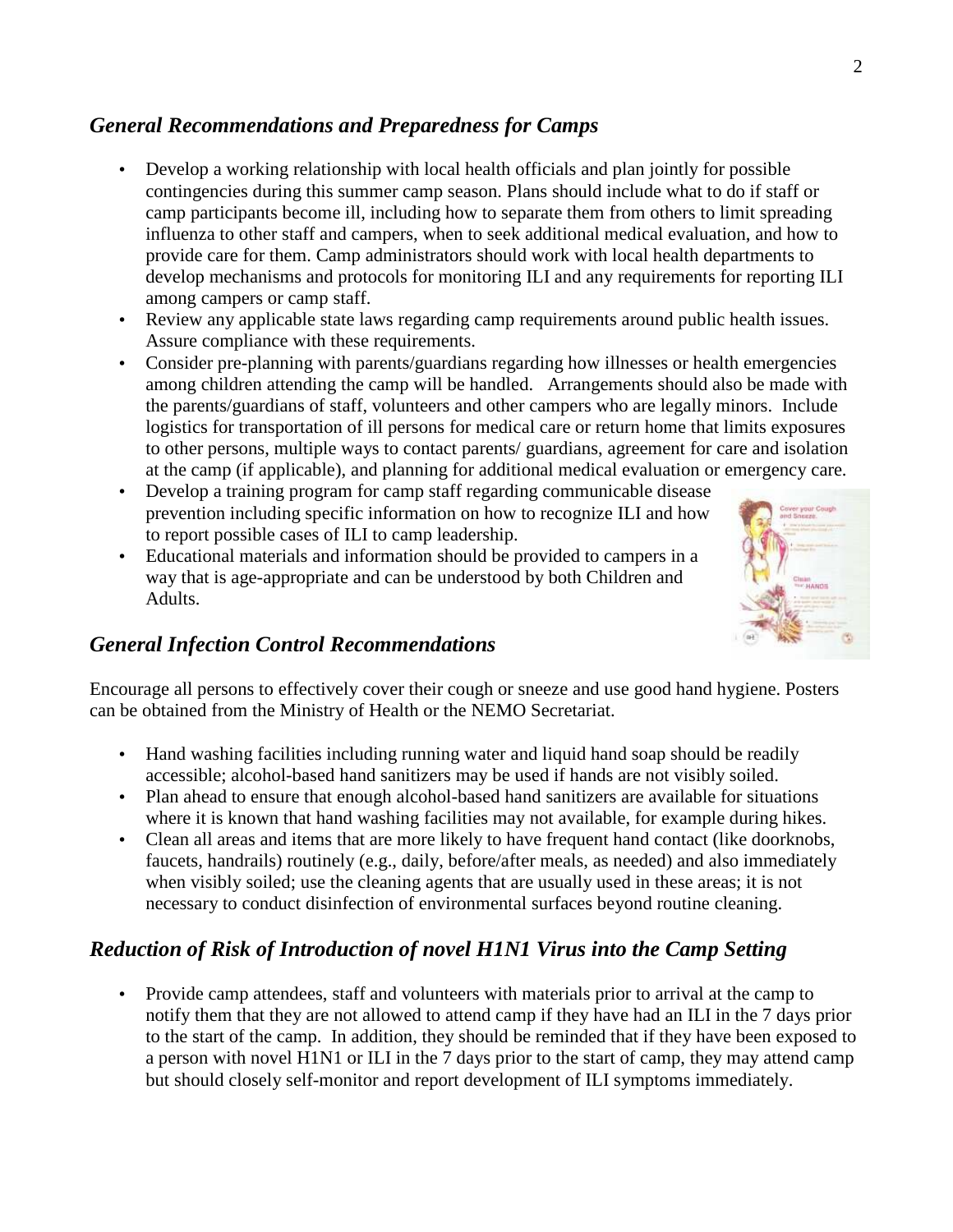#### *General Recommendations and Preparedness for Camps*

- Develop a working relationship with local health officials and plan jointly for possible contingencies during this summer camp season. Plans should include what to do if staff or camp participants become ill, including how to separate them from others to limit spreading influenza to other staff and campers, when to seek additional medical evaluation, and how to provide care for them. Camp administrators should work with local health departments to develop mechanisms and protocols for monitoring ILI and any requirements for reporting ILI among campers or camp staff.
- Review any applicable state laws regarding camp requirements around public health issues. Assure compliance with these requirements.
- Consider pre-planning with parents/guardians regarding how illnesses or health emergencies among children attending the camp will be handled. Arrangements should also be made with the parents/guardians of staff, volunteers and other campers who are legally minors. Include logistics for transportation of ill persons for medical care or return home that limits exposures to other persons, multiple ways to contact parents/ guardians, agreement for care and isolation at the camp (if applicable), and planning for additional medical evaluation or emergency care.
- Develop a training program for camp staff regarding communicable disease prevention including specific information on how to recognize ILI and how to report possible cases of ILI to camp leadership.
- Educational materials and information should be provided to campers in a way that is age-appropriate and can be understood by both Children and Adults.



#### *General Infection Control Recommendations*

Encourage all persons to effectively cover their cough or sneeze and use good hand hygiene. Posters can be obtained from the Ministry of Health or the NEMO Secretariat.

- Hand washing facilities including running water and liquid hand soap should be readily accessible; alcohol-based hand sanitizers may be used if hands are not visibly soiled.
- Plan ahead to ensure that enough alcohol-based hand sanitizers are available for situations where it is known that hand washing facilities may not available, for example during hikes.
- Clean all areas and items that are more likely to have frequent hand contact (like doorknobs, faucets, handrails) routinely (e.g., daily, before/after meals, as needed) and also immediately when visibly soiled; use the cleaning agents that are usually used in these areas; it is not necessary to conduct disinfection of environmental surfaces beyond routine cleaning.

## *Reduction of Risk of Introduction of novel H1N1 Virus into the Camp Setting*

• Provide camp attendees, staff and volunteers with materials prior to arrival at the camp to notify them that they are not allowed to attend camp if they have had an ILI in the 7 days prior to the start of the camp. In addition, they should be reminded that if they have been exposed to a person with novel H1N1 or ILI in the 7 days prior to the start of camp, they may attend camp but should closely self-monitor and report development of ILI symptoms immediately.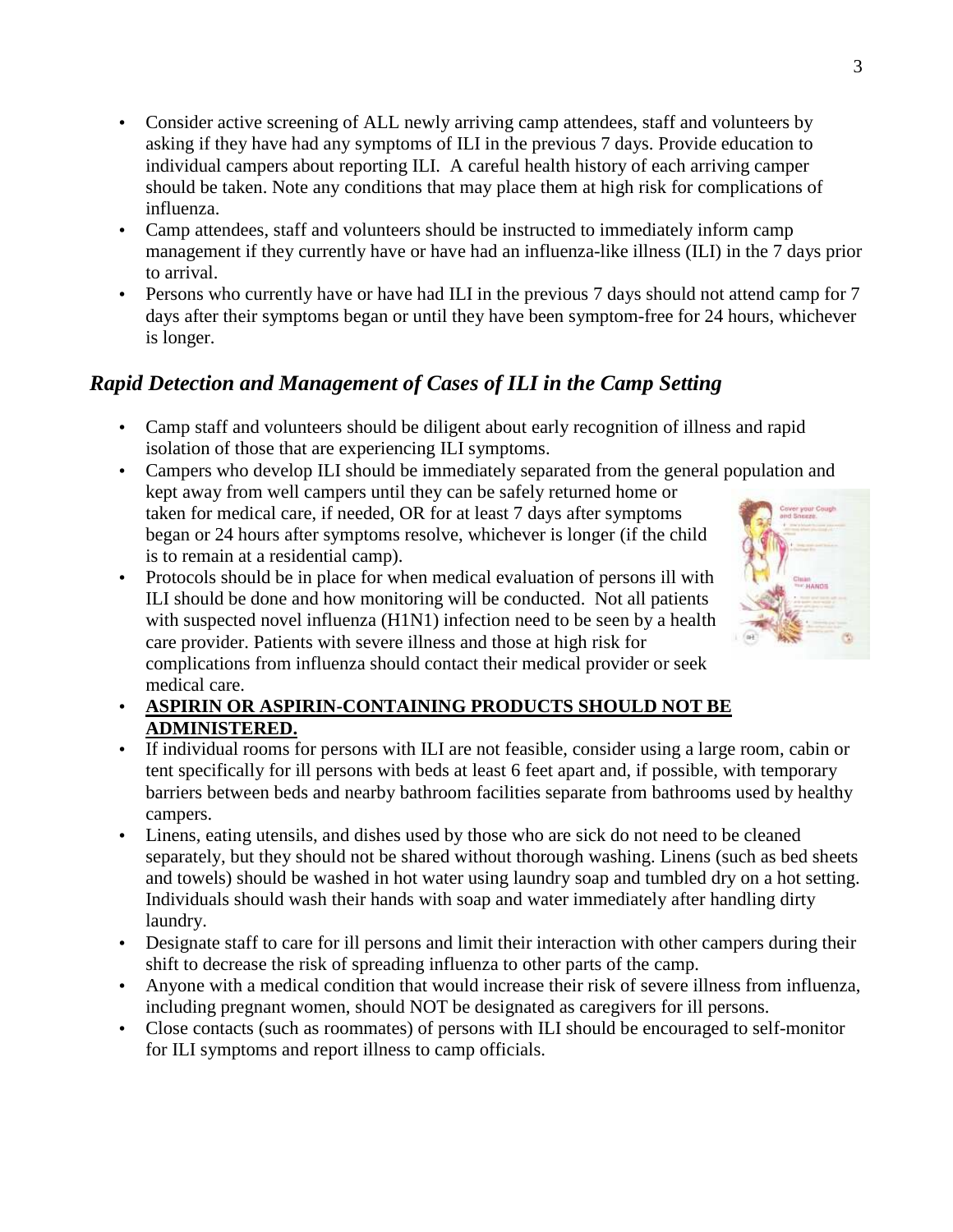- Consider active screening of ALL newly arriving camp attendees, staff and volunteers by asking if they have had any symptoms of ILI in the previous 7 days. Provide education to individual campers about reporting ILI. A careful health history of each arriving camper should be taken. Note any conditions that may place them at high risk for complications of influenza.
- Camp attendees, staff and volunteers should be instructed to immediately inform camp management if they currently have or have had an influenza-like illness (ILI) in the 7 days prior to arrival.
- Persons who currently have or have had ILI in the previous 7 days should not attend camp for 7 days after their symptoms began or until they have been symptom-free for 24 hours, whichever is longer.

# *Rapid Detection and Management of Cases of ILI in the Camp Setting*

- Camp staff and volunteers should be diligent about early recognition of illness and rapid isolation of those that are experiencing ILI symptoms.
- Campers who develop ILI should be immediately separated from the general population and kept away from well campers until they can be safely returned home or taken for medical care, if needed, OR for at least 7 days after symptoms began or 24 hours after symptoms resolve, whichever is longer (if the child is to remain at a residential camp).
- Protocols should be in place for when medical evaluation of persons ill with ILI should be done and how monitoring will be conducted. Not all patients with suspected novel influenza (H1N1) infection need to be seen by a health care provider. Patients with severe illness and those at high risk for complications from influenza should contact their medical provider or seek medical care.



- **ASPIRIN OR ASPIRIN-CONTAINING PRODUCTS SHOULD NOT BE ADMINISTERED.**
- If individual rooms for persons with ILI are not feasible, consider using a large room, cabin or tent specifically for ill persons with beds at least 6 feet apart and, if possible, with temporary barriers between beds and nearby bathroom facilities separate from bathrooms used by healthy campers.
- Linens, eating utensils, and dishes used by those who are sick do not need to be cleaned separately, but they should not be shared without thorough washing. Linens (such as bed sheets and towels) should be washed in hot water using laundry soap and tumbled dry on a hot setting. Individuals should wash their hands with soap and water immediately after handling dirty laundry.
- Designate staff to care for ill persons and limit their interaction with other campers during their shift to decrease the risk of spreading influenza to other parts of the camp.
- Anyone with a medical condition that would increase their risk of severe illness from influenza, including pregnant women, should NOT be designated as caregivers for ill persons.
- Close contacts (such as roommates) of persons with ILI should be encouraged to self-monitor for ILI symptoms and report illness to camp officials.